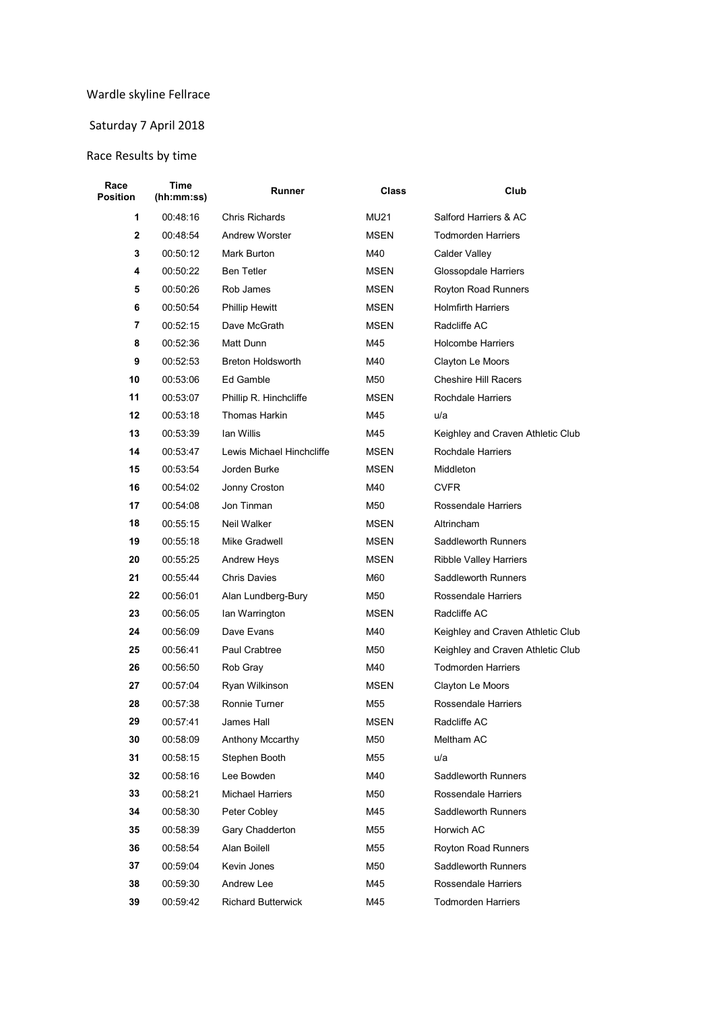## Wardle skyline Fellrace

## Saturday 7 April 2018

## Race Results by time

| Race<br>Position | Time<br>(hh:mm:ss) | Runner                    | Class       | Club                              |  |
|------------------|--------------------|---------------------------|-------------|-----------------------------------|--|
| 1                | 00:48:16           | <b>Chris Richards</b>     | <b>MU21</b> | Salford Harriers & AC             |  |
| 2                | 00:48:54           | <b>Andrew Worster</b>     | <b>MSEN</b> | <b>Todmorden Harriers</b>         |  |
| 3                | 00:50:12           | Mark Burton               | M40         | Calder Valley                     |  |
| 4                | 00:50:22           | <b>Ben Tetler</b>         | MSEN        | Glossopdale Harriers              |  |
| 5                | 00:50:26           | Rob James                 | MSEN        | Royton Road Runners               |  |
| 6                | 00:50:54           | <b>Phillip Hewitt</b>     | MSEN        | <b>Holmfirth Harriers</b>         |  |
| 7                | 00:52:15           | Dave McGrath              | <b>MSEN</b> | Radcliffe AC                      |  |
| 8                | 00:52:36           | Matt Dunn                 | M45         | <b>Holcombe Harriers</b>          |  |
| 9                | 00:52:53           | <b>Breton Holdsworth</b>  | M40         | Clayton Le Moors                  |  |
| 10               | 00:53:06           | Ed Gamble                 | M50         | <b>Cheshire Hill Racers</b>       |  |
| 11               | 00:53:07           | Phillip R. Hinchcliffe    | MSEN        | Rochdale Harriers                 |  |
| 12               | 00:53:18           | Thomas Harkin             | M45         | u/a                               |  |
| 13               | 00:53:39           | Ian Willis                | M45         | Keighley and Craven Athletic Club |  |
| 14               | 00:53:47           | Lewis Michael Hinchcliffe | <b>MSEN</b> | Rochdale Harriers                 |  |
| 15               | 00:53:54           | Jorden Burke              | MSEN        | Middleton                         |  |
| 16               | 00:54:02           | Jonny Croston             | M40         | <b>CVFR</b>                       |  |
| 17               | 00:54:08           | Jon Tinman                | M50         | Rossendale Harriers               |  |
| 18               | 00:55:15           | Neil Walker               | MSEN        | Altrincham                        |  |
| 19               | 00:55:18           | Mike Gradwell             | MSEN        | Saddleworth Runners               |  |
| 20               | 00:55:25           | Andrew Heys               | MSEN        | <b>Ribble Valley Harriers</b>     |  |
| 21               | 00:55:44           | <b>Chris Davies</b>       | M60         | Saddleworth Runners               |  |
| 22               | 00:56:01           | Alan Lundberg-Bury        | M50         | Rossendale Harriers               |  |
| 23               | 00:56:05           | Ian Warrington            | MSEN        | Radcliffe AC                      |  |
| 24               | 00:56:09           | Dave Evans                | M40         | Keighley and Craven Athletic Club |  |
| 25               | 00:56:41           | Paul Crabtree             | M50         | Keighley and Craven Athletic Club |  |
| 26               | 00:56:50           | Rob Gray                  | M40         | <b>Todmorden Harriers</b>         |  |
| 27               | 00:57:04           | Ryan Wilkinson            | MSEN        | Clayton Le Moors                  |  |
| 28               | 00:57:38           | Ronnie Turner             | M55         | Rossendale Harriers               |  |
| 29               | 00:57:41           | James Hall                | <b>MSEN</b> | Radcliffe AC                      |  |
| 30               | 00:58:09           | Anthony Mccarthy          | M50         | Meltham AC                        |  |
| 31               | 00:58:15           | Stephen Booth             | M55         | u/a                               |  |
| 32               | 00:58:16           | Lee Bowden                | M40         | Saddleworth Runners               |  |
| 33               | 00:58:21           | <b>Michael Harriers</b>   | M50         | Rossendale Harriers               |  |
| 34               | 00:58:30           | Peter Cobley              | M45         | Saddleworth Runners               |  |
| 35               | 00:58:39           | Gary Chadderton           | M55         | Horwich AC                        |  |
| 36               | 00:58:54           | Alan Boilell              | M55         | Royton Road Runners               |  |
| 37               | 00:59:04           | Kevin Jones               | M50         | Saddleworth Runners               |  |
| 38               | 00:59:30           | Andrew Lee                | M45         | Rossendale Harriers               |  |
| 39               | 00:59:42           | <b>Richard Butterwick</b> | M45         | <b>Todmorden Harriers</b>         |  |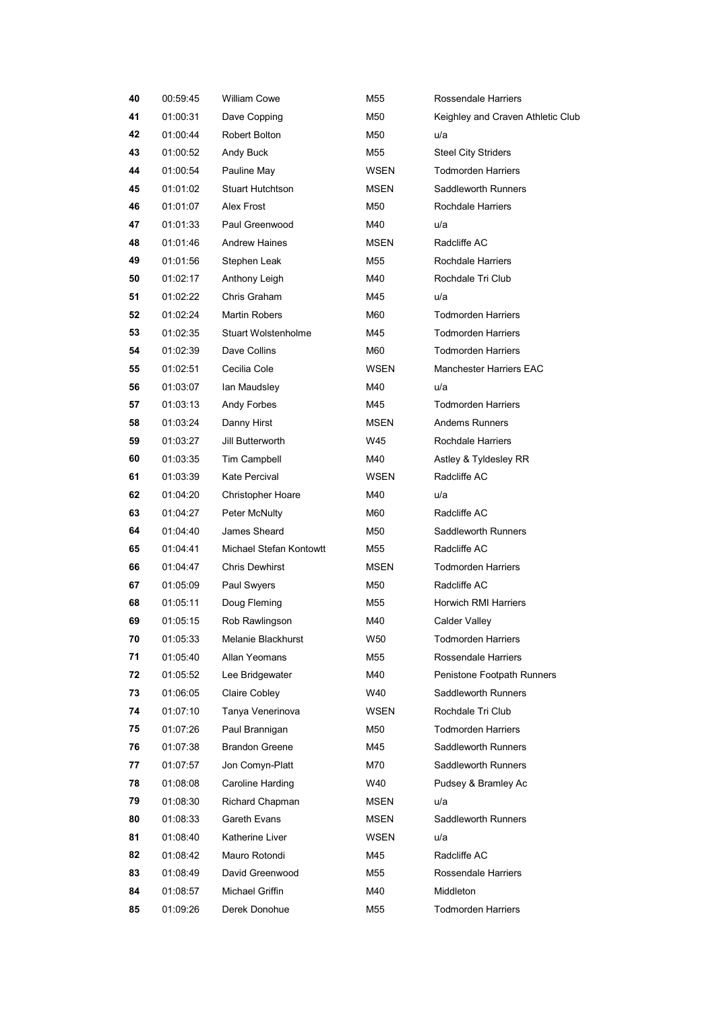| 40 | 00:59:45 | <b>William Cowe</b>     | M55         | Rossendale Harriers               |  |
|----|----------|-------------------------|-------------|-----------------------------------|--|
| 41 | 01:00:31 | Dave Copping            | M50         | Keighley and Craven Athletic Club |  |
| 42 | 01:00:44 | Robert Bolton           | M50         | u/a                               |  |
| 43 | 01:00:52 | Andy Buck               | M55         | <b>Steel City Striders</b>        |  |
| 44 | 01:00:54 | Pauline May             | WSEN        | <b>Todmorden Harriers</b>         |  |
| 45 | 01:01:02 | <b>Stuart Hutchtson</b> | MSEN        | Saddleworth Runners               |  |
| 46 | 01:01:07 | Alex Frost              | M50         | Rochdale Harriers                 |  |
| 47 | 01:01:33 | Paul Greenwood          | M40         | u/a                               |  |
| 48 | 01:01:46 | <b>Andrew Haines</b>    | <b>MSEN</b> | Radcliffe AC                      |  |
| 49 | 01:01:56 | Stephen Leak            | M55         | Rochdale Harriers                 |  |
| 50 | 01:02:17 | Anthony Leigh           | M40         | Rochdale Tri Club                 |  |
| 51 | 01:02:22 | Chris Graham            | M45         | u/a                               |  |
| 52 | 01:02:24 | <b>Martin Robers</b>    | M60         | <b>Todmorden Harriers</b>         |  |
| 53 | 01:02:35 | Stuart Wolstenholme     | M45         | <b>Todmorden Harriers</b>         |  |
| 54 | 01:02:39 | Dave Collins            | M60         | <b>Todmorden Harriers</b>         |  |
| 55 | 01:02:51 | Cecilia Cole            | WSEN        | <b>Manchester Harriers EAC</b>    |  |
| 56 | 01:03:07 | Ian Maudsley            | M40         | u/a                               |  |
| 57 | 01:03:13 | Andy Forbes             | M45         | <b>Todmorden Harriers</b>         |  |
| 58 | 01:03:24 | Danny Hirst             | <b>MSEN</b> | <b>Andems Runners</b>             |  |
| 59 | 01:03:27 | Jill Butterworth        | W45         | Rochdale Harriers                 |  |
| 60 | 01:03:35 | Tim Campbell            | M40         | Astley & Tyldesley RR             |  |
| 61 | 01:03:39 | Kate Percival           | WSEN        | Radcliffe AC                      |  |
| 62 | 01:04:20 | Christopher Hoare       | M40         | u/a                               |  |
| 63 | 01:04:27 | Peter McNulty           | M60         | Radcliffe AC                      |  |
| 64 | 01:04:40 | James Sheard            | M50         | Saddleworth Runners               |  |
| 65 | 01:04:41 | Michael Stefan Kontowtt | M55         | Radcliffe AC                      |  |
| 66 | 01:04:47 | <b>Chris Dewhirst</b>   | <b>MSEN</b> | <b>Todmorden Harriers</b>         |  |
| 67 | 01:05:09 | Paul Swyers             | M50         | Radcliffe AC                      |  |
| 68 | 01:05:11 | Doug Fleming            | M55         | Horwich RMI Harriers              |  |
| 69 | 01:05:15 | Rob Rawlingson          | M40         | Calder Valley                     |  |
| 70 | 01:05:33 | Melanie Blackhurst      | W50         | <b>Todmorden Harriers</b>         |  |
| 71 | 01:05:40 | Allan Yeomans           | M55         | Rossendale Harriers               |  |
| 72 | 01:05:52 | Lee Bridgewater         | M40         | Penistone Footpath Runners        |  |
| 73 | 01:06:05 | <b>Claire Cobley</b>    | W40         | Saddleworth Runners               |  |
| 74 | 01:07:10 | Tanya Venerinova        | WSEN        | Rochdale Tri Club                 |  |
| 75 | 01:07:26 | Paul Brannigan          | M50         | <b>Todmorden Harriers</b>         |  |
| 76 | 01:07:38 | <b>Brandon Greene</b>   | M45         | Saddleworth Runners               |  |
| 77 | 01:07:57 | Jon Comyn-Platt         | M70         | Saddleworth Runners               |  |
| 78 | 01:08:08 | Caroline Harding        | W40         | Pudsey & Bramley Ac               |  |
| 79 | 01:08:30 | Richard Chapman         | <b>MSEN</b> | u/a                               |  |
| 80 | 01:08:33 | Gareth Evans            | <b>MSEN</b> | Saddleworth Runners               |  |
| 81 | 01:08:40 | Katherine Liver         | <b>WSEN</b> | u/a                               |  |
| 82 | 01:08:42 | Mauro Rotondi           | M45         | Radcliffe AC                      |  |
| 83 | 01:08:49 | David Greenwood         | M55         | Rossendale Harriers               |  |
| 84 | 01:08:57 | Michael Griffin         | M40         | Middleton                         |  |
| 85 | 01:09:26 | Derek Donohue           | M55         | <b>Todmorden Harriers</b>         |  |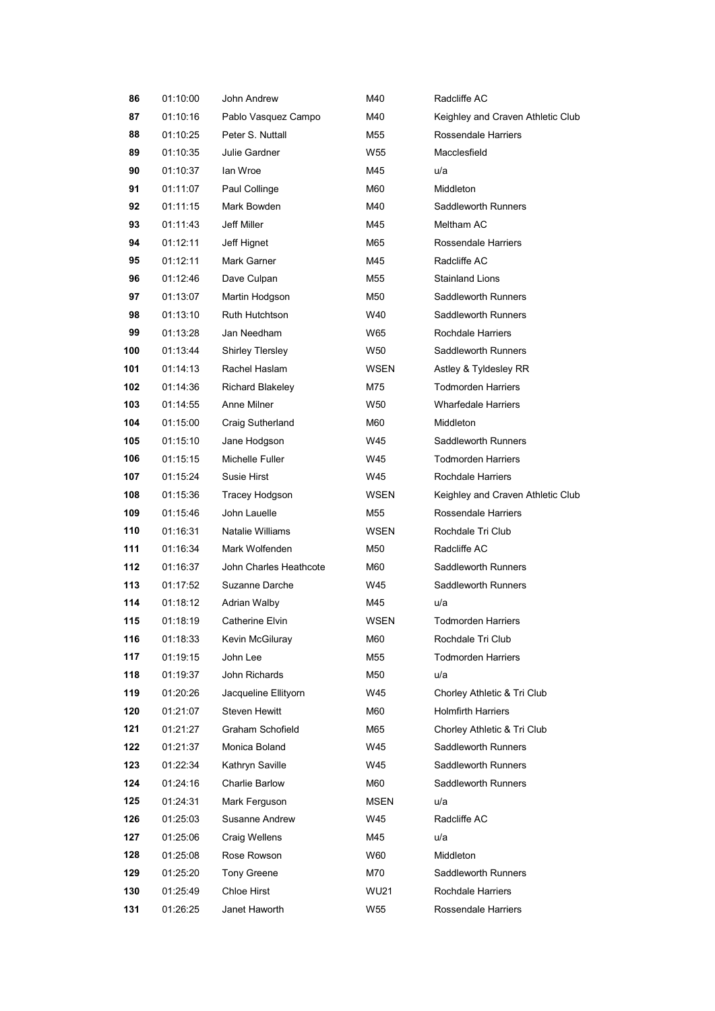| 86  | 01:10:00 | John Andrew            | M40         | Radcliffe AC                      |  |
|-----|----------|------------------------|-------------|-----------------------------------|--|
| 87  | 01:10:16 | Pablo Vasquez Campo    | M40         | Keighley and Craven Athletic Club |  |
| 88  | 01:10:25 | Peter S. Nuttall       | M55         | Rossendale Harriers               |  |
| 89  | 01:10:35 | Julie Gardner          | W55         | Macclesfield                      |  |
| 90  | 01:10:37 | lan Wroe               | M45         | u/a                               |  |
| 91  | 01:11:07 | Paul Collinge          | M60         | Middleton                         |  |
| 92  | 01:11:15 | Mark Bowden            | M40         | Saddleworth Runners               |  |
| 93  | 01:11:43 | Jeff Miller            | M45         | Meltham AC                        |  |
| 94  | 01:12:11 | Jeff Hignet            | M65         | Rossendale Harriers               |  |
| 95  | 01:12:11 | Mark Garner            | M45         | Radcliffe AC                      |  |
| 96  | 01:12:46 | Dave Culpan            | M55         | Stainland Lions                   |  |
| 97  | 01:13:07 | Martin Hodgson         | M50         | Saddleworth Runners               |  |
| 98  | 01:13:10 | Ruth Hutchtson         | W40         | Saddleworth Runners               |  |
| 99  | 01:13:28 | Jan Needham            | W65         | Rochdale Harriers                 |  |
| 100 | 01:13:44 | Shirley Tlersley       | W50         | Saddleworth Runners               |  |
| 101 | 01:14:13 | Rachel Haslam          | WSEN        | Astley & Tyldesley RR             |  |
| 102 | 01:14:36 | Richard Blakeley       | M75         | <b>Todmorden Harriers</b>         |  |
| 103 | 01:14:55 | Anne Milner            | W50         | <b>Wharfedale Harriers</b>        |  |
| 104 | 01:15:00 | Craig Sutherland       | M60         | Middleton                         |  |
| 105 | 01:15:10 | Jane Hodgson           | W45         | Saddleworth Runners               |  |
| 106 | 01:15:15 | Michelle Fuller        | W45         | <b>Todmorden Harriers</b>         |  |
| 107 | 01:15:24 | Susie Hirst            | W45         | Rochdale Harriers                 |  |
| 108 | 01:15:36 | Tracey Hodgson         | WSEN        | Keighley and Craven Athletic Club |  |
| 109 | 01:15:46 | John Lauelle           | M55         | Rossendale Harriers               |  |
| 110 | 01:16:31 | Natalie Williams       | WSEN        | Rochdale Tri Club                 |  |
| 111 | 01:16:34 | Mark Wolfenden         | M50         | Radcliffe AC                      |  |
| 112 | 01:16:37 | John Charles Heathcote | M60         | Saddleworth Runners               |  |
| 113 | 01:17:52 | Suzanne Darche         | W45         | Saddleworth Runners               |  |
| 114 | 01:18:12 | <b>Adrian Walby</b>    | M45         | u/a                               |  |
| 115 | 01:18:19 | Catherine Elvin        | WSEN        | <b>Todmorden Harriers</b>         |  |
| 116 | 01:18:33 | Kevin McGiluray        | M60         | Rochdale Tri Club                 |  |
| 117 | 01:19:15 | John Lee               | M55         | <b>Todmorden Harriers</b>         |  |
| 118 | 01:19:37 | John Richards          | M50         | u/a                               |  |
| 119 | 01:20:26 | Jacqueline Ellityorn   | W45         | Chorley Athletic & Tri Club       |  |
| 120 | 01:21:07 | Steven Hewitt          | M60         | <b>Holmfirth Harriers</b>         |  |
| 121 | 01:21:27 | Graham Schofield       | M65         | Chorley Athletic & Tri Club       |  |
| 122 | 01:21:37 | Monica Boland          | W45         | Saddleworth Runners               |  |
| 123 | 01:22:34 | Kathryn Saville        | W45         | Saddleworth Runners               |  |
| 124 | 01:24:16 | Charlie Barlow         | M60         | Saddleworth Runners               |  |
| 125 | 01:24:31 | Mark Ferguson          | <b>MSEN</b> | u/a                               |  |
| 126 | 01:25:03 | Susanne Andrew         | W45         | Radcliffe AC                      |  |
| 127 | 01:25:06 | Craig Wellens          | M45         | u/a                               |  |
| 128 | 01:25:08 | Rose Rowson            | W60         | Middleton                         |  |
| 129 | 01:25:20 | Tony Greene            | M70         | Saddleworth Runners               |  |
| 130 | 01:25:49 | Chloe Hirst            | <b>WU21</b> | Rochdale Harriers                 |  |
| 131 | 01:26:25 | Janet Haworth          | W55         | Rossendale Harriers               |  |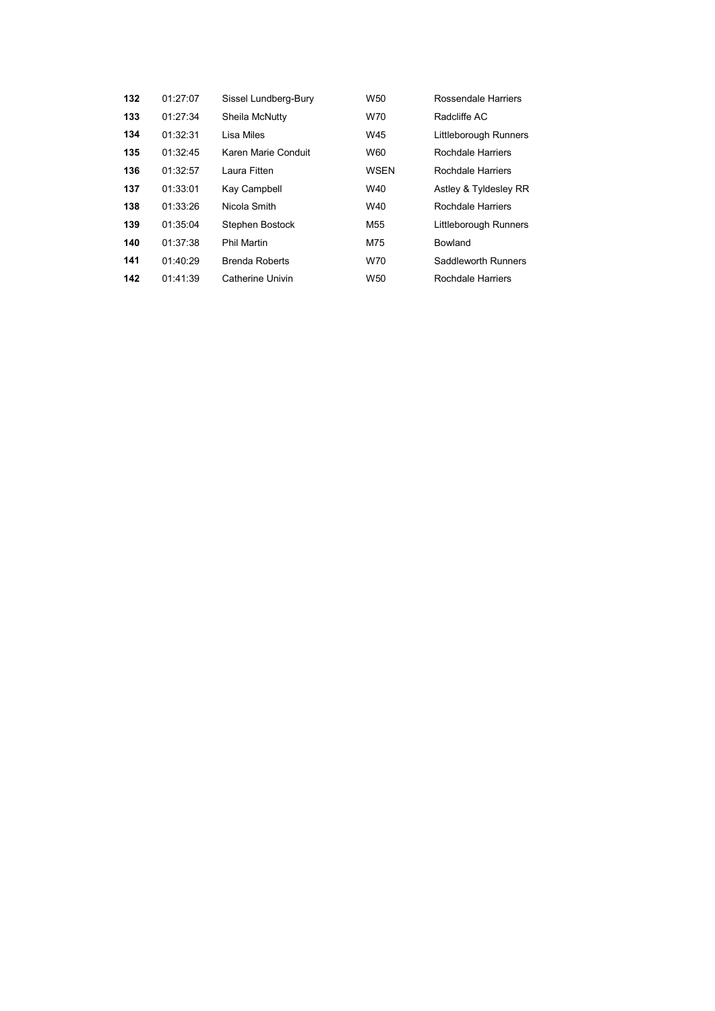| 132 | 01:27:07 | Sissel Lundberg-Bury  | W50             | Rossendale Harriers   |
|-----|----------|-----------------------|-----------------|-----------------------|
| 133 | 01:27:34 | Sheila McNutty        | W70             | Radcliffe AC          |
| 134 | 01:32:31 | Lisa Miles            | W45             | Littleborough Runners |
| 135 | 01:32:45 | Karen Marie Conduit   | W60             | Rochdale Harriers     |
| 136 | 01:32:57 | Laura Fitten          | WSEN            | Rochdale Harriers     |
| 137 | 01:33:01 | Kay Campbell          | W40             | Astley & Tyldesley RR |
| 138 | 01:33:26 | Nicola Smith          | W40             | Rochdale Harriers     |
| 139 | 01:35:04 | Stephen Bostock       | M55             | Littleborough Runners |
| 140 | 01:37:38 | <b>Phil Martin</b>    | M75             | Bowland               |
| 141 | 01:40:29 | <b>Brenda Roberts</b> | W70             | Saddleworth Runners   |
| 142 | 01:41:39 | Catherine Univin      | W <sub>50</sub> | Rochdale Harriers     |